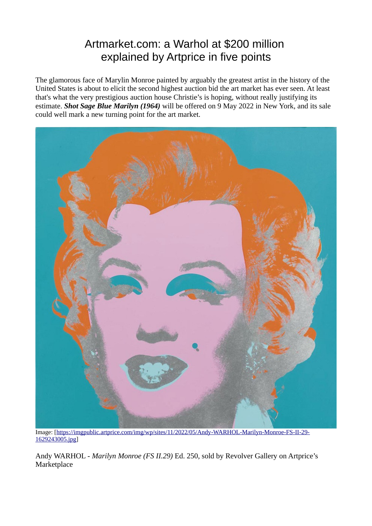# Artmarket.com: a Warhol at \$200 million explained by Artprice in five points

The glamorous face of Marylin Monroe painted by arguably the greatest artist in the history of the United States is about to elicit the second highest auction bid the art market has ever seen. At least that's what the very prestigious auction house Christie's is hoping, without really justifying its estimate. *Shot Sage Blue Marilyn (1964)* will be offered on 9 May 2022 in New York, and its sale could well mark a new turning point for the art market.



Image: [\[https://imgpublic.artprice.com/img/wp/sites/11/2022/05/Andy-WARHOL-Marilyn-Monroe-FS-II-29-](https://imgpublic.artprice.com/img/wp/sites/11/2022/05/Andy-WARHOL-Marilyn-Monroe-FS-II-29-1629243005.jpg) [1629243005.jpg](https://imgpublic.artprice.com/img/wp/sites/11/2022/05/Andy-WARHOL-Marilyn-Monroe-FS-II-29-1629243005.jpg)]

Andy WARHOL - *Marilyn Monroe (FS II.29)* Ed. 250, sold by Revolver Gallery on Artprice's **Marketplace**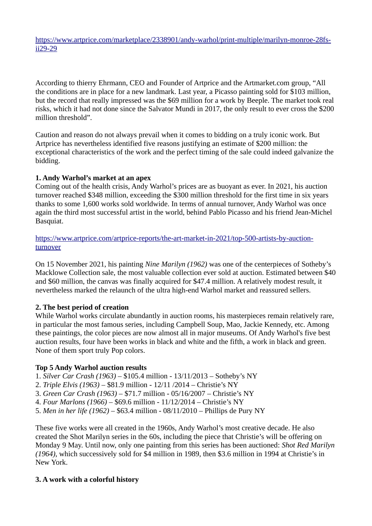[https://www.artprice.com/marketplace/2338901/andy-warhol/print-multiple/marilyn-monroe-28fs](https://www.artprice.com/marketplace/2338901/andy-warhol/print-multiple/marilyn-monroe-28fs-ii29-29)[ii29-29](https://www.artprice.com/marketplace/2338901/andy-warhol/print-multiple/marilyn-monroe-28fs-ii29-29)

According to thierry Ehrmann, CEO and Founder of Artprice and the Artmarket.com group, "All the conditions are in place for a new landmark. Last year, a Picasso painting sold for \$103 million, but the record that really impressed was the \$69 million for a work by Beeple. The market took real risks, which it had not done since the Salvator Mundi in 2017, the only result to ever cross the \$200 million threshold".

Caution and reason do not always prevail when it comes to bidding on a truly iconic work. But Artprice has nevertheless identified five reasons justifying an estimate of \$200 million: the exceptional characteristics of the work and the perfect timing of the sale could indeed galvanize the bidding.

#### **1. Andy Warhol's market at an apex**

Coming out of the health crisis, Andy Warhol's prices are as buoyant as ever. In 2021, his auction turnover reached \$348 million, exceeding the \$300 million threshold for the first time in six years thanks to some 1,600 works sold worldwide. In terms of annual turnover, Andy Warhol was once again the third most successful artist in the world, behind Pablo Picasso and his friend Jean-Michel Basquiat.

[https://www.artprice.com/artprice-reports/the-art-market-in-2021/top-500-artists-by-auction](https://www.artprice.com/artprice-reports/the-art-market-in-2021/top-500-artists-by-auction-turnover)[turnover](https://www.artprice.com/artprice-reports/the-art-market-in-2021/top-500-artists-by-auction-turnover)

On 15 November 2021, his painting *Nine Marilyn (1962)* was one of the centerpieces of Sotheby's Macklowe Collection sale, the most valuable collection ever sold at auction. Estimated between \$40 and \$60 million, the canvas was finally acquired for \$47.4 million. A relatively modest result, it nevertheless marked the relaunch of the ultra high-end Warhol market and reassured sellers.

## **2. The best period of creation**

While Warhol works circulate abundantly in auction rooms, his masterpieces remain relatively rare, in particular the most famous series, including Campbell Soup, Mao, Jackie Kennedy, etc. Among these paintings, the color pieces are now almost all in major museums. Of Andy Warhol's five best auction results, four have been works in black and white and the fifth, a work in black and green. None of them sport truly Pop colors.

#### **Top 5 Andy Warhol auction results**

1. *Silver Car Crash (1963)* – \$105.4 million - 13/11/2013 – Sotheby's NY

- 2. *Triple Elvis (1963)*  \$81.9 million 12/11 /2014 Christie's NY
- 3. *Green Car Crash (1963)* \$71.7 million 05/16/2007 Christie's NY
- 4. *Four Marlons (1966)*  \$69.6 million 11/12/2014 Christie's NY
- 5. *Men in her life (1962)* \$63.4 million 08/11/2010 Phillips de Pury NY

These five works were all created in the 1960s, Andy Warhol's most creative decade. He also created the Shot Marilyn series in the 60s, including the piece that Christie's will be offering on Monday 9 May. Until now, only one painting from this series has been auctioned: *Shot Red Marilyn (1964)*, which successively sold for \$4 million in 1989, then \$3.6 million in 1994 at Christie's in New York.

## **3. A work with a colorful history**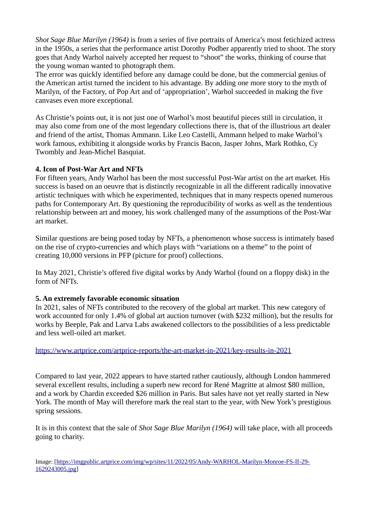*Shot Sage Blue Marilyn (1964)* is from a series of five portraits of America's most fetichized actress in the 1950s, a series that the performance artist Dorothy Podber apparently tried to shoot. The story goes that Andy Warhol naively accepted her request to "shoot" the works, thinking of course that the young woman wanted to photograph them.

The error was quickly identified before any damage could be done, but the commercial genius of the American artist turned the incident to his advantage. By adding one more story to the myth of Marilyn, of the Factory, of Pop Art and of 'appropriation', Warhol succeeded in making the five canvases even more exceptional.

As Christie's points out, it is not just one of Warhol's most beautiful pieces still in circulation, it may also come from one of the most legendary collections there is, that of the illustrious art dealer and friend of the artist, Thomas Ammann. Like Leo Castelli, Ammann helped to make Warhol's work famous, exhibiting it alongside works by Francis Bacon, Jasper Johns, Mark Rothko, Cy Twombly and Jean-Michel Basquiat.

## **4. Icon of Post-War Art and NFTs**

For fifteen years, Andy Warhol has been the most successful Post-War artist on the art market. His success is based on an oeuvre that is distinctly recognizable in all the different radically innovative artistic techniques with which he experimented, techniques that in many respects opened numerous paths for Contemporary Art. By questioning the reproducibility of works as well as the tendentious relationship between art and money, his work challenged many of the assumptions of the Post-War art market.

Similar questions are being posed today by NFTs, a phenomenon whose success is intimately based on the rise of crypto-currencies and which plays with "variations on a theme" to the point of creating 10,000 versions in PFP (picture for proof) collections.

In May 2021, Christie's offered five digital works by Andy Warhol (found on a floppy disk) in the form of NFTs.

# **5. An extremely favorable economic situation**

In 2021, sales of NFTs contributed to the recovery of the global art market. This new category of work accounted for only 1.4% of global art auction turnover (with \$232 million), but the results for works by Beeple, Pak and Larva Labs awakened collectors to the possibilities of a less predictable and less well-oiled art market.

<https://www.artprice.com/artprice-reports/the-art-market-in-2021/key-results-in-2021>

Compared to last year, 2022 appears to have started rather cautiously, although London hammered several excellent results, including a superb new record for René Magritte at almost \$80 million, and a work by Chardin exceeded \$26 million in Paris. But sales have not yet really started in New York. The month of May will therefore mark the real start to the year, with New York's prestigious spring sessions.

It is in this context that the sale of *Shot Sage Blue Marilyn (1964)* will take place, with all proceeds going to charity.

Image: [\[https://imgpublic.artprice.com/img/wp/sites/11/2022/05/Andy-WARHOL-Marilyn-Monroe-FS-II-29-](https://imgpublic.artprice.com/img/wp/sites/11/2022/05/Andy-WARHOL-Marilyn-Monroe-FS-II-29-1629243005.jpg) [1629243005.jpg](https://imgpublic.artprice.com/img/wp/sites/11/2022/05/Andy-WARHOL-Marilyn-Monroe-FS-II-29-1629243005.jpg)]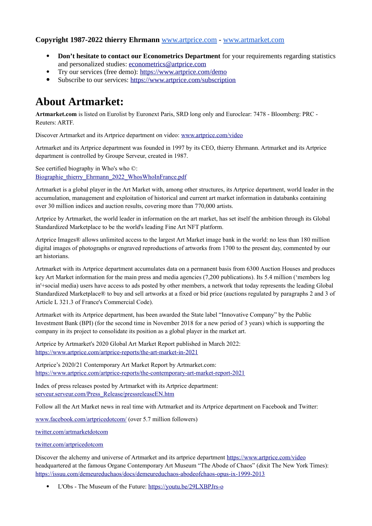#### **Copyright 1987-2022 thierry Ehrmann** [www.artprice.com](https://www.artprice.com/) - [www.artmarket.com](https://www.artmarket.com/)

- **Don't hesitate to contact our Econometrics Department** for your requirements regarding statistics and personalized studies: [econometrics@artprice.com](mailto:econometrics@artprice.com)
- Try our services (free demo): <https://www.artprice.com/demo>
- Subscribe to our services: <https://www.artprice.com/subscription>

# **About Artmarket:**

**Artmarket.com** is listed on Eurolist by Euronext Paris, SRD long only and Euroclear: 7478 - Bloomberg: PRC - Reuters: ARTF.

Discover Artmarket and its Artprice department on video: [www.artprice.com/video](https://www.artprice.com/video)

Artmarket and its Artprice department was founded in 1997 by its CEO, thierry Ehrmann. Artmarket and its Artprice department is controlled by Groupe Serveur, created in 1987.

See certified biography in Who's who ©: [Biographie\\_thierry\\_Ehrmann\\_2022\\_WhosWhoInFrance.pdf](https://imgpublic.artprice.com/img/wp/sites/11/2021/11/Biographie_thierry_Ehrmann_2022_WhosWhoInFrance.pdf)

Artmarket is a global player in the Art Market with, among other structures, its Artprice department, world leader in the accumulation, management and exploitation of historical and current art market information in databanks containing over 30 million indices and auction results, covering more than 770,000 artists.

Artprice by Artmarket, the world leader in information on the art market, has set itself the ambition through its Global Standardized Marketplace to be the world's leading Fine Art NFT platform.

Artprice Images® allows unlimited access to the largest Art Market image bank in the world: no less than 180 million digital images of photographs or engraved reproductions of artworks from 1700 to the present day, commented by our art historians.

Artmarket with its Artprice department accumulates data on a permanent basis from 6300 Auction Houses and produces key Art Market information for the main press and media agencies (7,200 publications). Its 5.4 million ('members log in'+social media) users have access to ads posted by other members, a network that today represents the leading Global Standardized Marketplace® to buy and sell artworks at a fixed or bid price (auctions regulated by paragraphs 2 and 3 of Article L 321.3 of France's Commercial Code).

Artmarket with its Artprice department, has been awarded the State label "Innovative Company" by the Public Investment Bank (BPI) (for the second time in November 2018 for a new period of 3 years) which is supporting the company in its project to consolidate its position as a global player in the market art.

Artprice by Artmarket's 2020 Global Art Market Report published in March 2022: <https://www.artprice.com/artprice-reports/the-art-market-in-2021>

Artprice's 2020/21 Contemporary Art Market Report by Artmarket.com: <https://www.artprice.com/artprice-reports/the-contemporary-art-market-report-2021>

Index of press releases posted by Artmarket with its Artprice department: [serveur.serveur.com/Press\\_Release/pressreleaseEN.htm](https://serveur.serveur.com/Press_Release/pressreleaseEN.htm)

Follow all the Art Market news in real time with Artmarket and its Artprice department on Facebook and Twitter:

[www.facebook.com/artpricedotcom/](https://www.facebook.com/artpricedotcom/) (over 5.7 million followers)

[twitter.com/artmarketdotcom](https://twitter.com/artmarketdotcom)

[twitter.com/artpricedotcom](https://twitter.com/artpricedotcom)

Discover the alchemy and universe of Artmarket and its artprice department <https://www.artprice.com/video> headquartered at the famous Organe Contemporary Art Museum "The Abode of Chaos" (dixit The New York Times): <https://issuu.com/demeureduchaos/docs/demeureduchaos-abodeofchaos-opus-ix-1999-2013>

L'Obs - The Museum of the Future:<https://youtu.be/29LXBPJrs-o>